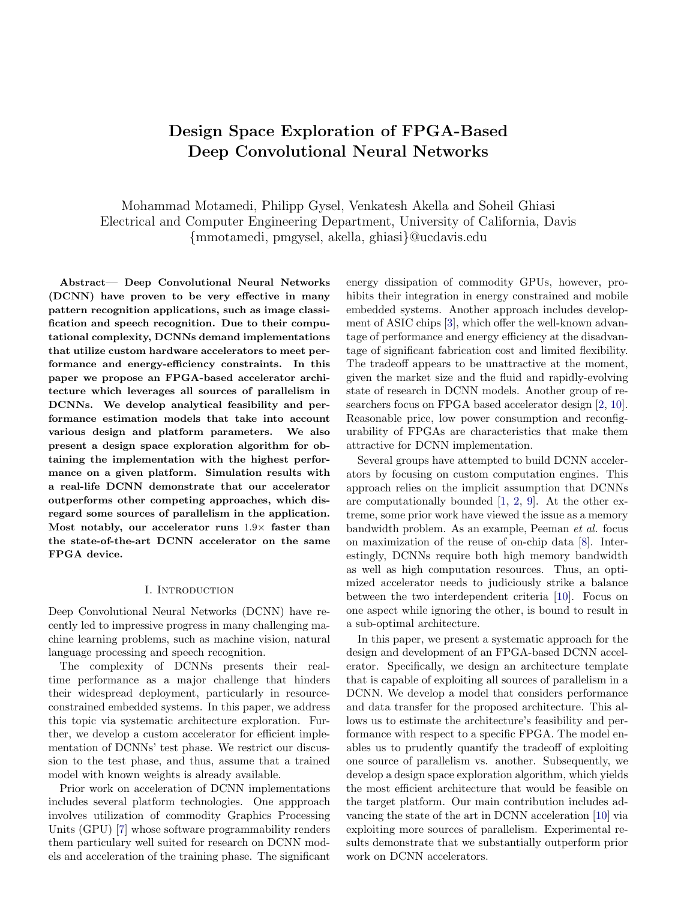# Design Space Exploration of FPGA-Based Deep Convolutional Neural Networks

Mohammad Motamedi, Philipp Gysel, Venkatesh Akella and Soheil Ghiasi Electrical and Computer Engineering Department, University of California, Davis {mmotamedi, pmgysel, akella, ghiasi}@ucdavis.edu

Abstract— Deep Convolutional Neural Networks (DCNN) have proven to be very effective in many pattern recognition applications, such as image classification and speech recognition. Due to their computational complexity, DCNNs demand implementations that utilize custom hardware accelerators to meet performance and energy-efficiency constraints. In this paper we propose an FPGA-based accelerator architecture which leverages all sources of parallelism in DCNNs. We develop analytical feasibility and performance estimation models that take into account various design and platform parameters. We also present a design space exploration algorithm for obtaining the implementation with the highest performance on a given platform. Simulation results with a real-life DCNN demonstrate that our accelerator outperforms other competing approaches, which disregard some sources of parallelism in the application. Most notably, our accelerator runs  $1.9\times$  faster than the state-of-the-art DCNN accelerator on the same FPGA device.

## I. INTRODUCTION

Deep Convolutional Neural Networks (DCNN) have recently led to impressive progress in many challenging machine learning problems, such as machine vision, natural language processing and speech recognition.

The complexity of DCNNs presents their realtime performance as a major challenge that hinders their widespread deployment, particularly in resourceconstrained embedded systems. In this paper, we address this topic via systematic architecture exploration. Further, we develop a custom accelerator for efficient implementation of DCNNs' test phase. We restrict our discussion to the test phase, and thus, assume that a trained model with known weights is already available.

Prior work on acceleration of DCNN implementations includes several platform technologies. One appproach involves utilization of commodity Graphics Processing Units (GPU) [\[7\]](#page-5-0) whose software programmability renders them particulary well suited for research on DCNN models and acceleration of the training phase. The significant

energy dissipation of commodity GPUs, however, prohibits their integration in energy constrained and mobile embedded systems. Another approach includes development of ASIC chips [\[3\]](#page-5-1), which offer the well-known advantage of performance and energy efficiency at the disadvantage of significant fabrication cost and limited flexibility. The tradeoff appears to be unattractive at the moment, given the market size and the fluid and rapidly-evolving state of research in DCNN models. Another group of researchers focus on FPGA based accelerator design [\[2,](#page-5-2) [10\]](#page-5-3). Reasonable price, low power consumption and reconfigurability of FPGAs are characteristics that make them attractive for DCNN implementation.

Several groups have attempted to build DCNN accelerators by focusing on custom computation engines. This approach relies on the implicit assumption that DCNNs are computationally bounded [\[1,](#page-5-4) [2,](#page-5-2) [9\]](#page-5-5). At the other extreme, some prior work have viewed the issue as a memory bandwidth problem. As an example, Peeman et al. focus on maximization of the reuse of on-chip data [\[8\]](#page-5-6). Interestingly, DCNNs require both high memory bandwidth as well as high computation resources. Thus, an optimized accelerator needs to judiciously strike a balance between the two interdependent criteria [\[10\]](#page-5-3). Focus on one aspect while ignoring the other, is bound to result in a sub-optimal architecture.

In this paper, we present a systematic approach for the design and development of an FPGA-based DCNN accelerator. Specifically, we design an architecture template that is capable of exploiting all sources of parallelism in a DCNN. We develop a model that considers performance and data transfer for the proposed architecture. This allows us to estimate the architecture's feasibility and performance with respect to a specific FPGA. The model enables us to prudently quantify the tradeoff of exploiting one source of parallelism vs. another. Subsequently, we develop a design space exploration algorithm, which yields the most efficient architecture that would be feasible on the target platform. Our main contribution includes advancing the state of the art in DCNN acceleration [\[10\]](#page-5-3) via exploiting more sources of parallelism. Experimental results demonstrate that we substantially outperform prior work on DCNN accelerators.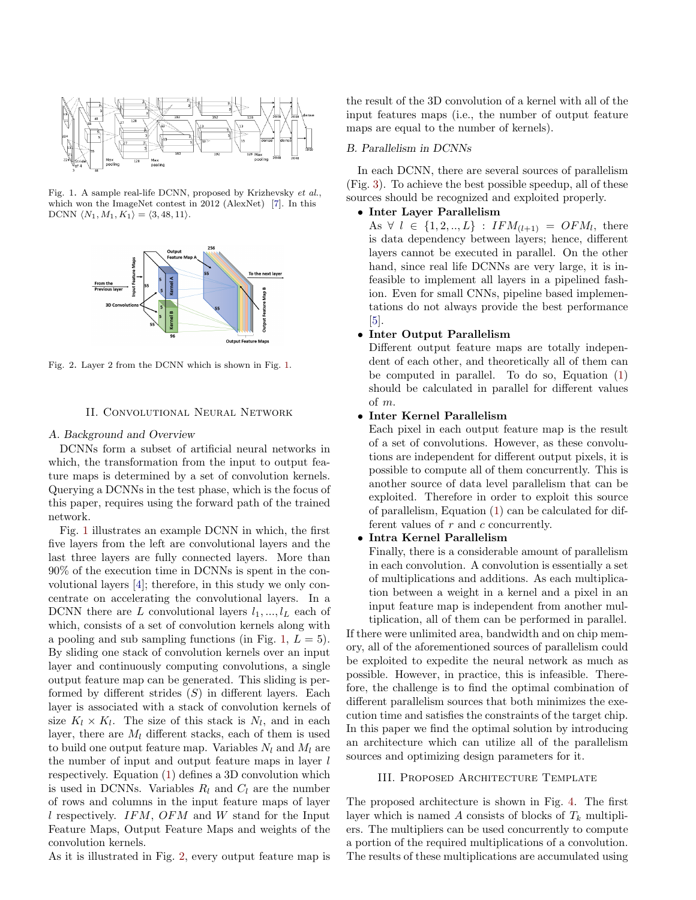

Fig. 1. A sample real-life DCNN, proposed by Krizhevsky et al., which won the ImageNet contest in 2012 (AlexNet) [\[7\]](#page-5-0). In this DCNN  $\langle N_1, M_1, K_1 \rangle = \langle 3, 48, 11 \rangle.$ 



Fig. 2. Layer 2 from the DCNN which is shown in Fig. [1.](#page-1-0)

## II. Convolutional Neural Network

#### A. Background and Overview

DCNNs form a subset of artificial neural networks in which, the transformation from the input to output feature maps is determined by a set of convolution kernels. Querying a DCNNs in the test phase, which is the focus of this paper, requires using the forward path of the trained network.

Fig. [1](#page-1-0) illustrates an example DCNN in which, the first five layers from the left are convolutional layers and the last three layers are fully connected layers. More than 90% of the execution time in DCNNs is spent in the convolutional layers [\[4\]](#page-5-7); therefore, in this study we only concentrate on accelerating the convolutional layers. In a DCNN there are L convolutional layers  $l_1, ..., l_L$  each of which, consists of a set of convolution kernels along with a pooling and sub sampling functions (in Fig. [1,](#page-1-0)  $L = 5$ ). By sliding one stack of convolution kernels over an input layer and continuously computing convolutions, a single output feature map can be generated. This sliding is performed by different strides  $(S)$  in different layers. Each layer is associated with a stack of convolution kernels of size  $K_l \times K_l$ . The size of this stack is  $N_l$ , and in each layer, there are  $M_l$  different stacks, each of them is used to build one output feature map. Variables  $N_l$  and  $M_l$  are the number of input and output feature maps in layer l respectively. Equation [\(1\)](#page-2-0) defines a 3D convolution which is used in DCNNs. Variables  $R_l$  and  $C_l$  are the number of rows and columns in the input feature maps of layer l respectively. IFM, OFM and W stand for the Input Feature Maps, Output Feature Maps and weights of the convolution kernels.

As it is illustrated in Fig. [2,](#page-1-1) every output feature map is

the result of the 3D convolution of a kernel with all of the input features maps (i.e., the number of output feature maps are equal to the number of kernels).

## B. Parallelism in DCNNs

<span id="page-1-0"></span>In each DCNN, there are several sources of parallelism (Fig. [3\)](#page-2-1). To achieve the best possible speedup, all of these sources should be recognized and exploited properly.

## • Inter Layer Parallelism

As  $\forall l \in \{1, 2, ..., L\} : IFM_{(l+1)} = OFM_l$ , there is data dependency between layers; hence, different layers cannot be executed in parallel. On the other hand, since real life DCNNs are very large, it is infeasible to implement all layers in a pipelined fashion. Even for small CNNs, pipeline based implementations do not always provide the best performance  $\vert 5 \vert$ .

## <span id="page-1-1"></span>• Inter Output Parallelism

Different output feature maps are totally independent of each other, and theoretically all of them can be computed in parallel. To do so, Equation [\(1\)](#page-2-0) should be calculated in parallel for different values of m.

## • Inter Kernel Parallelism

Each pixel in each output feature map is the result of a set of convolutions. However, as these convolutions are independent for different output pixels, it is possible to compute all of them concurrently. This is another source of data level parallelism that can be exploited. Therefore in order to exploit this source of parallelism, Equation [\(1\)](#page-2-0) can be calculated for different values of  $r$  and  $c$  concurrently.

## • Intra Kernel Parallelism

Finally, there is a considerable amount of parallelism in each convolution. A convolution is essentially a set of multiplications and additions. As each multiplication between a weight in a kernel and a pixel in an input feature map is independent from another multiplication, all of them can be performed in parallel.

If there were unlimited area, bandwidth and on chip memory, all of the aforementioned sources of parallelism could be exploited to expedite the neural network as much as possible. However, in practice, this is infeasible. Therefore, the challenge is to find the optimal combination of different parallelism sources that both minimizes the execution time and satisfies the constraints of the target chip. In this paper we find the optimal solution by introducing an architecture which can utilize all of the parallelism sources and optimizing design parameters for it.

## III. Proposed Architecture Template

The proposed architecture is shown in Fig. [4.](#page-2-2) The first layer which is named A consists of blocks of  $T_k$  multipliers. The multipliers can be used concurrently to compute a portion of the required multiplications of a convolution. The results of these multiplications are accumulated using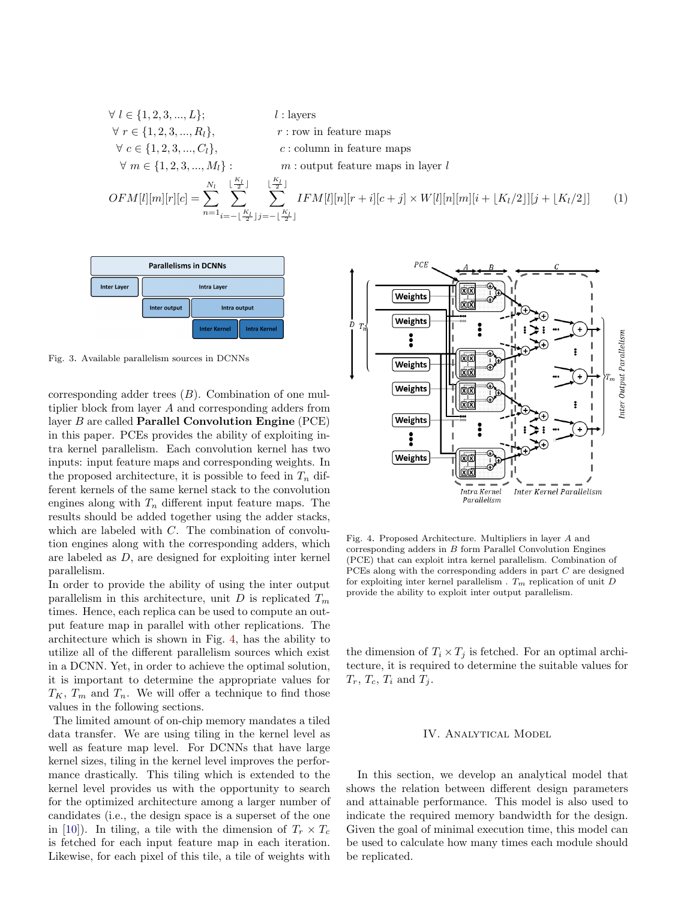<span id="page-2-0"></span>
$$
\forall l \in \{1, 2, 3, ..., L\};
$$
  
\n
$$
\forall r \in \{1, 2, 3, ..., R_l\},
$$
  
\n
$$
\forall c \in \{1, 2, 3, ..., C_l\},
$$
  
\n
$$
\forall m \in \{1, 2, 3, ..., M_l\}:
$$
  
\n
$$
\forall m \in \{1, 2, 3, ..., M_l\}:
$$
  
\n
$$
\forall m \in \{1, 2, 3, ..., M_l\}:
$$
  
\n
$$
\forall m \in \{\frac{K_l}{2} \text{ and } \frac{K_l}{2} \text{ and } \frac{K_l}{2} \text{ and } \frac{K_l}{2} \text{ and } \frac{K_l}{2} \text{ and } \frac{K_l}{2} \text{ and } \frac{K_l}{2} \text{ and } \frac{K_l}{2} \text{ and } \frac{K_l}{2} \text{ and } \frac{K_l}{2} \text{ and } \frac{K_l}{2} \text{ and } \frac{K_l}{2} \text{ and } \frac{K_l}{2} \text{ and } \frac{K_l}{2} \text{ and } \frac{K_l}{2} \text{ and } \frac{K_l}{2} \text{ and } \frac{K_l}{2} \text{ and } \frac{K_l}{2} \text{ and } \frac{K_l}{2} \text{ and } \frac{K_l}{2} \text{ and } \frac{K_l}{2} \text{ and } \frac{K_l}{2} \text{ and } \frac{K_l}{2} \text{ and } \frac{K_l}{2} \text{ and } \frac{K_l}{2} \text{ and } \frac{K_l}{2} \text{ and } \frac{K_l}{2} \text{ and } \frac{K_l}{2} \text{ and } \frac{K_l}{2} \text{ and } \frac{K_l}{2} \text{ and } \frac{K_l}{2} \text{ and } \frac{K_l}{2} \text{ and } \frac{K_l}{2} \text{ and } \frac{K_l}{2} \text{ and } \frac{K_l}{2} \text{ and } \frac{K_l}{2} \text{ and } \frac{K_l}{2} \text{ and } \frac{K_l}{2} \text{ and } \frac{K_l}{2} \text{ and } \frac{K_l}{2} \text{ and } \frac{K_l}{2} \text{ and } \frac{K_l}{2} \text{ and } \frac{K_l}{2} \text{ and } \frac{K_l}{2} \text
$$



Fig. 3. Available parallelism sources in DCNNs

corresponding adder trees  $(B)$ . Combination of one multiplier block from layer A and corresponding adders from layer  $B$  are called **Parallel Convolution Engine** (PCE) in this paper. PCEs provides the ability of exploiting intra kernel parallelism. Each convolution kernel has two inputs: input feature maps and corresponding weights. In the proposed architecture, it is possible to feed in  $T_n$  different kernels of the same kernel stack to the convolution engines along with  $T_n$  different input feature maps. The results should be added together using the adder stacks, which are labeled with C. The combination of convolution engines along with the corresponding adders, which are labeled as D, are designed for exploiting inter kernel parallelism.

In order to provide the ability of using the inter output parallelism in this architecture, unit D is replicated  $T_m$ times. Hence, each replica can be used to compute an output feature map in parallel with other replications. The architecture which is shown in Fig. [4,](#page-2-2) has the ability to utilize all of the different parallelism sources which exist in a DCNN. Yet, in order to achieve the optimal solution, it is important to determine the appropriate values for  $T_K$ ,  $T_m$  and  $T_n$ . We will offer a technique to find those values in the following sections.

The limited amount of on-chip memory mandates a tiled data transfer. We are using tiling in the kernel level as well as feature map level. For DCNNs that have large kernel sizes, tiling in the kernel level improves the performance drastically. This tiling which is extended to the kernel level provides us with the opportunity to search for the optimized architecture among a larger number of candidates (i.e., the design space is a superset of the one in [\[10\]](#page-5-3)). In tiling, a tile with the dimension of  $T_r \times T_c$ is fetched for each input feature map in each iteration. Likewise, for each pixel of this tile, a tile of weights with

<span id="page-2-1"></span>

<span id="page-2-2"></span>Fig. 4. Proposed Architecture. Multipliers in layer A and corresponding adders in B form Parallel Convolution Engines (PCE) that can exploit intra kernel parallelism. Combination of PCEs along with the corresponding adders in part C are designed for exploiting inter kernel parallelism .  $T_m$  replication of unit  $D$ provide the ability to exploit inter output parallelism.

the dimension of  $T_i \times T_j$  is fetched. For an optimal architecture, it is required to determine the suitable values for  $T_r$ ,  $T_c$ ,  $T_i$  and  $T_j$ .

#### IV. Analytical Model

In this section, we develop an analytical model that shows the relation between different design parameters and attainable performance. This model is also used to indicate the required memory bandwidth for the design. Given the goal of minimal execution time, this model can be used to calculate how many times each module should be replicated.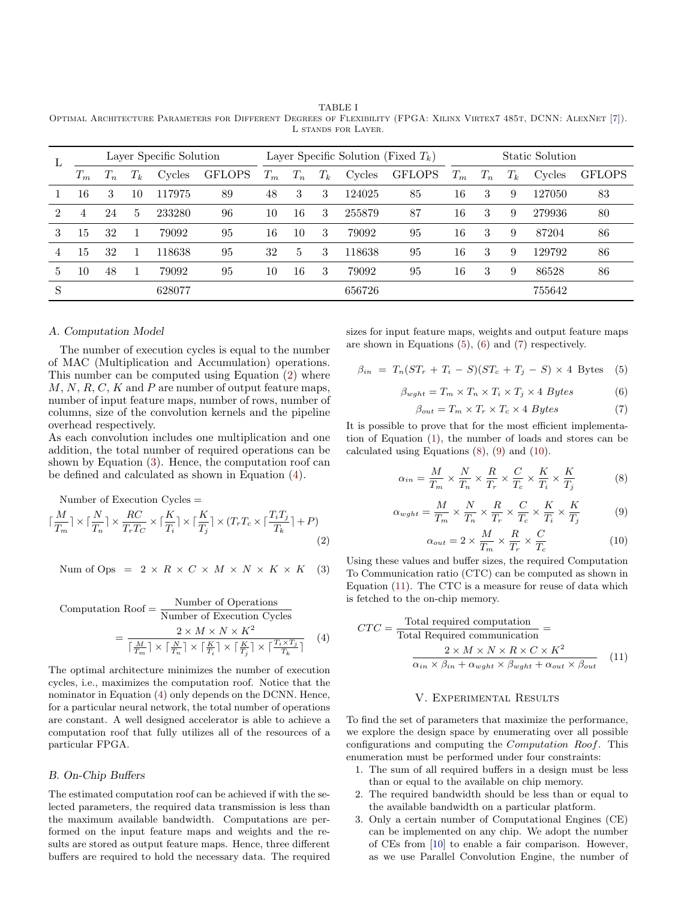<span id="page-3-10"></span>TABLE I Optimal Architecture Parameters for Different Degrees of Flexibility (FPGA: Xilinx Virtex7 485t, DCNN: AlexNet [\[7\]](#page-5-0)). L stands for Layer.

| L              | Layer Specific Solution |                                       |       |        | Layer Specific Solution (Fixed $T_k$ ) |       |                  |         |        | Static Solution |       |       |         |        |               |
|----------------|-------------------------|---------------------------------------|-------|--------|----------------------------------------|-------|------------------|---------|--------|-----------------|-------|-------|---------|--------|---------------|
|                | $T_m$                   | $\boldsymbol{\perp}$ $\boldsymbol{n}$ | $T_k$ | Cycles | <b>GFLOPS</b>                          | $T_m$ | $\overline{T_n}$ | $T_{k}$ | Cycles | <b>GFLOPS</b>   | $T_m$ | $T_n$ | $T_k\,$ | Cycles | <b>GFLOPS</b> |
|                | 16                      | 3                                     | 10    | 117975 | 89                                     | 48    | 3                | 3       | 124025 | 85              | 16    | 3     | 9       | 127050 | 83            |
| $\mathfrak{D}$ | 4                       | 24                                    | 5     | 233280 | 96                                     | 10    | 16               | 3       | 255879 | 87              | 16    | 3     | 9       | 279936 | 80            |
| 3              | 15                      | 32                                    |       | 79092  | 95                                     | 16    | 10               | 3       | 79092  | 95              | 16    | 3     | 9       | 87204  | 86            |
| 4              | 15                      | 32                                    |       | 118638 | 95                                     | 32    | 5                | 3       | 118638 | 95              | 16    | 3     | 9       | 129792 | 86            |
| 5              | 10                      | 48                                    |       | 79092  | 95                                     | 10    | 16               | 3       | 79092  | 95              | 16    | 3     | 9       | 86528  | 86            |
| S              |                         |                                       |       | 628077 |                                        |       |                  |         | 656726 |                 |       |       |         | 755642 |               |

## A. Computation Model

The number of execution cycles is equal to the number of MAC (Multiplication and Accumulation) operations. This number can be computed using Equation [\(2\)](#page-3-0) where  $M, N, R, C, K$  and  $P$  are number of output feature maps, number of input feature maps, number of rows, number of columns, size of the convolution kernels and the pipeline overhead respectively.

As each convolution includes one multiplication and one addition, the total number of required operations can be shown by Equation [\(3\)](#page-3-1). Hence, the computation roof can be defined and calculated as shown in Equation [\(4\)](#page-3-2).

Number of Execution Cycles =

$$
\lceil \frac{M}{T_m} \rceil \times \lceil \frac{N}{T_n} \rceil \times \frac{RC}{T_rT_C} \times \lceil \frac{K}{T_i} \rceil \times \lceil \frac{K}{T_j} \rceil \times (T_rT_c \times \lceil \frac{T_iT_j}{T_k} \rceil + P) \tag{2}
$$

$$
\text{Num of Ops} = 2 \times R \times C \times M \times N \times K \times K \quad (3)
$$

Computation 
$$
Root = \frac{\text{Number of Operations}}{\text{Number of Execution Cycles}} = \frac{2 \times M \times N \times K^2}{\left\lceil \frac{M}{T_m} \right\rceil \times \left\lceil \frac{N}{T_n} \right\rceil \times \left\lceil \frac{K}{T_i} \right\rceil \times \left\lceil \frac{K}{T_j} \right\rceil \times \left\lceil \frac{T_i \times T_j}{T_k} \right\rceil} \tag{4}
$$

The optimal architecture minimizes the number of execution cycles, i.e., maximizes the computation roof. Notice that the nominator in Equation [\(4\)](#page-3-2) only depends on the DCNN. Hence, for a particular neural network, the total number of operations are constant. A well designed accelerator is able to achieve a computation roof that fully utilizes all of the resources of a particular FPGA.

## B. On-Chip Buffers

The estimated computation roof can be achieved if with the selected parameters, the required data transmission is less than the maximum available bandwidth. Computations are performed on the input feature maps and weights and the results are stored as output feature maps. Hence, three different buffers are required to hold the necessary data. The required sizes for input feature maps, weights and output feature maps are shown in Equations [\(5\)](#page-3-3), [\(6\)](#page-3-4) and [\(7\)](#page-3-5) respectively.

$$
\beta_{in} = T_n(ST_r + T_i - S)(ST_c + T_j - S) \times 4 \text{Bytes} \quad (5)
$$

<span id="page-3-4"></span>
$$
\beta_{wght} = T_m \times T_n \times T_i \times T_j \times 4 \; Bytes \tag{6}
$$

<span id="page-3-5"></span><span id="page-3-3"></span>
$$
\beta_{out} = T_m \times T_r \times T_c \times 4 \; Bytes \tag{7}
$$

It is possible to prove that for the most efficient implementation of Equation [\(1\)](#page-2-0), the number of loads and stores can be calculated using Equations [\(8\)](#page-3-6), [\(9\)](#page-3-7) and [\(10\)](#page-3-8).

<span id="page-3-6"></span>
$$
\alpha_{in} = \frac{M}{T_m} \times \frac{N}{T_n} \times \frac{R}{T_r} \times \frac{C}{T_c} \times \frac{K}{T_i} \times \frac{K}{T_j}
$$
(8)

<span id="page-3-7"></span>
$$
\alpha_{wght} = \frac{M}{T_m} \times \frac{N}{T_n} \times \frac{R}{T_r} \times \frac{C}{T_c} \times \frac{K}{T_i} \times \frac{K}{T_j}
$$
(9)

<span id="page-3-8"></span>
$$
\alpha_{out} = 2 \times \frac{M}{T_m} \times \frac{R}{T_r} \times \frac{C}{T_c}
$$
 (10)

<span id="page-3-1"></span><span id="page-3-0"></span>Using these values and buffer sizes, the required Computation To Communication ratio (CTC) can be computed as shown in Equation [\(11\)](#page-3-9). The CTC is a measure for reuse of data which is fetched to the on-chip memory.

<span id="page-3-2"></span>
$$
CTC = \frac{\text{Total required computation}}{\text{Total Required communication}} = \frac{2 \times M \times N \times R \times C \times K^2}{\alpha_{in} \times \beta_{in} + \alpha_{wght} \times \beta_{wght} + \alpha_{out} \times \beta_{out}} \quad (11)
$$

#### <span id="page-3-9"></span>V. Experimental Results

To find the set of parameters that maximize the performance, we explore the design space by enumerating over all possible configurations and computing the Computation Roof. This enumeration must be performed under four constraints:

- 1. The sum of all required buffers in a design must be less than or equal to the available on chip memory.
- 2. The required bandwidth should be less than or equal to the available bandwidth on a particular platform.
- 3. Only a certain number of Computational Engines (CE) can be implemented on any chip. We adopt the number of CEs from [\[10\]](#page-5-3) to enable a fair comparison. However, as we use Parallel Convolution Engine, the number of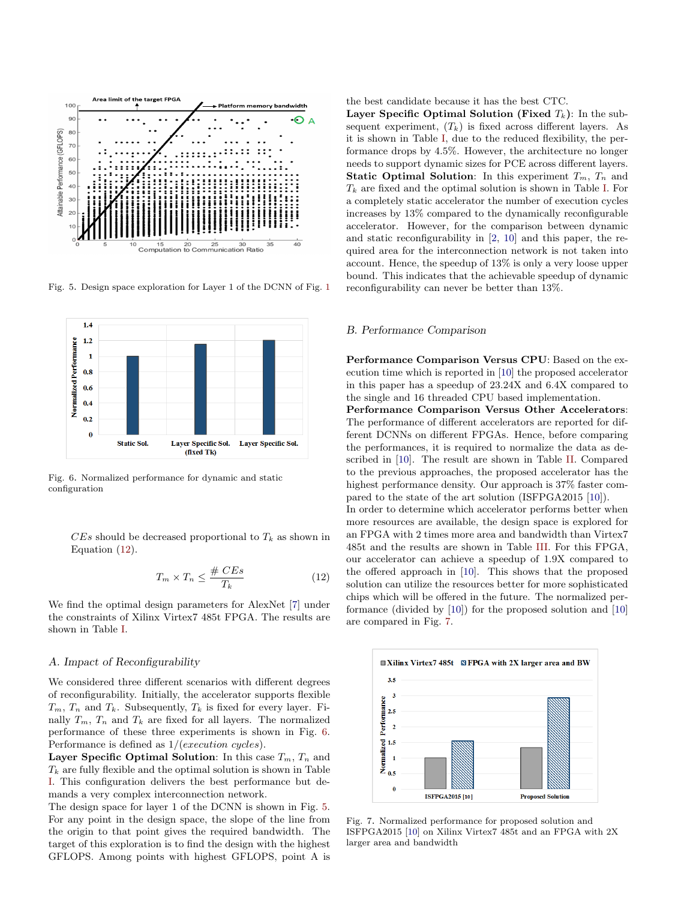

<span id="page-4-2"></span>Fig. 5. Design space exploration for Layer 1 of the DCNN of Fig. [1](#page-1-0)



Fig. 6. Normalized performance for dynamic and static configuration

 $CEs$  should be decreased proportional to  $T_k$  as shown in Equation [\(12\)](#page-4-0).

<span id="page-4-0"></span>
$$
T_m \times T_n \le \frac{\# \; CEs}{T_k} \tag{12}
$$

We find the optimal design parameters for AlexNet [\[7\]](#page-5-0) under the constraints of Xilinx Virtex7 485t FPGA. The results are shown in Table [I.](#page-3-10)

## A. Impact of Reconfigurability

We considered three different scenarios with different degrees of reconfigurability. Initially, the accelerator supports flexible  $T_m$ ,  $T_n$  and  $T_k$ . Subsequently,  $T_k$  is fixed for every layer. Finally  $T_m$ ,  $T_n$  and  $T_k$  are fixed for all layers. The normalized performance of these three experiments is shown in Fig. [6.](#page-4-1) Performance is defined as 1/(execution cycles).

Layer Specific Optimal Solution: In this case  $T_m$ ,  $T_n$  and  $T_k$  are fully flexible and the optimal solution is shown in Table [I.](#page-3-10) This configuration delivers the best performance but demands a very complex interconnection network.

The design space for layer 1 of the DCNN is shown in Fig. [5.](#page-4-2) For any point in the design space, the slope of the line from the origin to that point gives the required bandwidth. The target of this exploration is to find the design with the highest GFLOPS. Among points with highest GFLOPS, point A is

the best candidate because it has the best CTC.

Layer Specific Optimal Solution (Fixed  $T_k$ ): In the subsequent experiment,  $(T_k)$  is fixed across different layers. As it is shown in Table [I,](#page-3-10) due to the reduced flexibility, the performance drops by 4.5%. However, the architecture no longer needs to support dynamic sizes for PCE across different layers. **Static Optimal Solution:** In this experiment  $T_m$ ,  $T_n$  and  $T_k$  are fixed and the optimal solution is shown in Table [I.](#page-3-10) For a completely static accelerator the number of execution cycles increases by 13% compared to the dynamically reconfigurable accelerator. However, for the comparison between dynamic and static reconfigurability in [\[2,](#page-5-2) [10\]](#page-5-3) and this paper, the required area for the interconnection network is not taken into account. Hence, the speedup of 13% is only a very loose upper bound. This indicates that the achievable speedup of dynamic reconfigurability can never be better than 13%.

## B. Performance Comparison

Performance Comparison Versus CPU: Based on the execution time which is reported in [\[10\]](#page-5-3) the proposed accelerator in this paper has a speedup of 23.24X and 6.4X compared to the single and 16 threaded CPU based implementation.

<span id="page-4-1"></span>Performance Comparison Versus Other Accelerators: The performance of different accelerators are reported for different DCNNs on different FPGAs. Hence, before comparing the performances, it is required to normalize the data as described in [\[10\]](#page-5-3). The result are shown in Table [II.](#page-5-9) Compared to the previous approaches, the proposed accelerator has the highest performance density. Our approach is  $37\%$  faster compared to the state of the art solution (ISFPGA2015 [\[10\]](#page-5-3)).

In order to determine which accelerator performs better when more resources are available, the design space is explored for an FPGA with 2 times more area and bandwidth than Virtex7 485t and the results are shown in Table [III.](#page-5-10) For this FPGA, our accelerator can achieve a speedup of 1.9X compared to the offered approach in [\[10\]](#page-5-3). This shows that the proposed solution can utilize the resources better for more sophisticated chips which will be offered in the future. The normalized performance (divided by [\[10\]](#page-5-3)) for the proposed solution and [\[10\]](#page-5-3) are compared in Fig. [7.](#page-4-3)



<span id="page-4-3"></span>Fig. 7. Normalized performance for proposed solution and ISFPGA2015 [\[10\]](#page-5-3) on Xilinx Virtex7 485t and an FPGA with 2X larger area and bandwidth